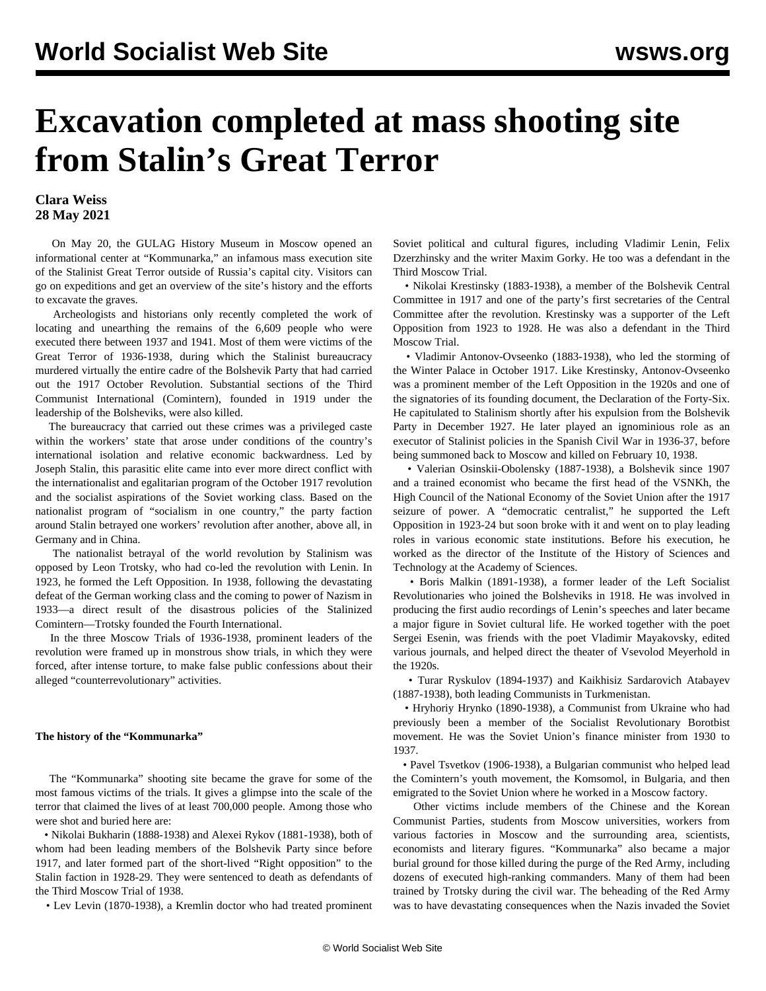## **Excavation completed at mass shooting site from Stalin's Great Terror**

## **Clara Weiss 28 May 2021**

 On May 20, the GULAG History Museum in Moscow opened an informational center at "Kommunarka," an infamous mass execution site of the Stalinist Great Terror outside of Russia's capital city. Visitors can go on expeditions and get an overview of the site's history and the efforts to excavate the graves.

 Archeologists and historians only recently completed the work of locating and unearthing the remains of the 6,609 people who were executed there between 1937 and 1941. Most of them were victims of the Great Terror of 1936-1938, during which the Stalinist bureaucracy murdered virtually the entire cadre of the Bolshevik Party that had carried out the 1917 October Revolution. Substantial sections of the Third Communist International (Comintern), founded in 1919 under the leadership of the Bolsheviks, were also killed.

 The bureaucracy that carried out these crimes was a privileged caste within the workers' state that arose under conditions of the country's international isolation and relative economic backwardness. Led by Joseph Stalin, this parasitic elite came into ever more direct conflict with the internationalist and egalitarian program of the October 1917 revolution and the socialist aspirations of the Soviet working class. Based on the nationalist program of "socialism in one country," the party faction around Stalin betrayed one workers' revolution after another, above all, in Germany and in China.

 The nationalist betrayal of the world revolution by Stalinism was opposed by Leon Trotsky, who had co-led the revolution with Lenin. In 1923, he formed the Left Opposition. In 1938, following the devastating defeat of the German working class and the coming to power of Nazism in 1933—a direct result of the disastrous policies of the Stalinized Comintern—Trotsky founded the Fourth International.

 In the three Moscow Trials of 1936-1938, prominent leaders of the revolution were framed up in monstrous show trials, in which they were forced, after intense torture, to make false public confessions about their alleged "counterrevolutionary" activities.

## **The history of the "Kommunarka"**

 The "Kommunarka" shooting site became the grave for some of the most famous victims of the trials. It gives a glimpse into the scale of the terror that claimed the lives of at least 700,000 people. Among those who were shot and buried here are:

 • [Nikolai Bukharin](/en/articles/2020/10/10/cohe-o10.html) (1888-1938) and Alexei Rykov (1881-1938), both of whom had been leading members of the Bolshevik Party since before 1917, and later formed part of the short-lived "Right opposition" to the Stalin faction in 1928-29. They were sentenced to death as defendants of the Third Moscow Trial of 1938.

• Lev Levin (1870-1938), a Kremlin doctor who had treated prominent

Soviet political and cultural figures, including Vladimir Lenin, Felix Dzerzhinsky and the writer Maxim Gorky. He too was a defendant in the Third Moscow Trial.

 • Nikolai Krestinsky (1883-1938), a member of the Bolshevik Central Committee in 1917 and one of the party's first secretaries of the Central Committee after the revolution. Krestinsky was a supporter of the Left Opposition from 1923 to 1928. He was also a defendant in the Third Moscow Trial.

 • Vladimir Antonov-Ovseenko (1883-1938), who led the storming of the Winter Palace in October 1917. Like Krestinsky, Antonov-Ovseenko was a prominent member of the Left Opposition in the 1920s and one of the signatories of its founding document, the Declaration of the Forty-Six. He capitulated to Stalinism shortly after his expulsion from the Bolshevik Party in December 1927. He later played an ignominious role as an executor of Stalinist policies in the Spanish Civil War in 1936-37, before being summoned back to Moscow and killed on February 10, 1938.

 • Valerian Osinskii-Obolensky (1887-1938), a Bolshevik since 1907 and a trained economist who became the first head of the VSNKh, the High Council of the National Economy of the Soviet Union after the 1917 seizure of power. A "democratic centralist," he supported the Left Opposition in 1923-24 but soon broke with it and went on to play leading roles in various economic state institutions. Before his execution, he worked as the director of the Institute of the History of Sciences and Technology at the Academy of Sciences.

 • Boris Malkin (1891-1938), a former leader of the Left Socialist Revolutionaries who joined the Bolsheviks in 1918. He was involved in producing the first audio recordings of Lenin's speeches and later became a major figure in Soviet cultural life. He worked together with the poet Sergei Esenin, was friends with the poet Vladimir Mayakovsky, edited various journals, and helped direct the theater of Vsevolod Meyerhold in the 1920s.

 • Turar Ryskulov (1894-1937) and Kaikhisiz Sardarovich Atabayev (1887-1938), both leading Communists in Turkmenistan.

 • Hryhoriy Hrynko (1890-1938), a Communist from Ukraine who had previously been a member of the Socialist Revolutionary Borotbist movement. He was the Soviet Union's finance minister from 1930 to 1937.

 • Pavel Tsvetkov (1906-1938), a Bulgarian communist who helped lead the Comintern's youth movement, the Komsomol, in Bulgaria, and then emigrated to the Soviet Union where he worked in a Moscow factory.

 Other victims include members of the Chinese and the Korean Communist Parties, students from Moscow universities, workers from various factories in Moscow and the surrounding area, scientists, economists and literary figures. "Kommunarka" also became a major burial ground for those killed during the purge of the Red Army, including dozens of executed high-ranking commanders. Many of them had been trained by Trotsky during the civil war. The beheading of the Red Army was to have devastating consequences when the Nazis invaded the Soviet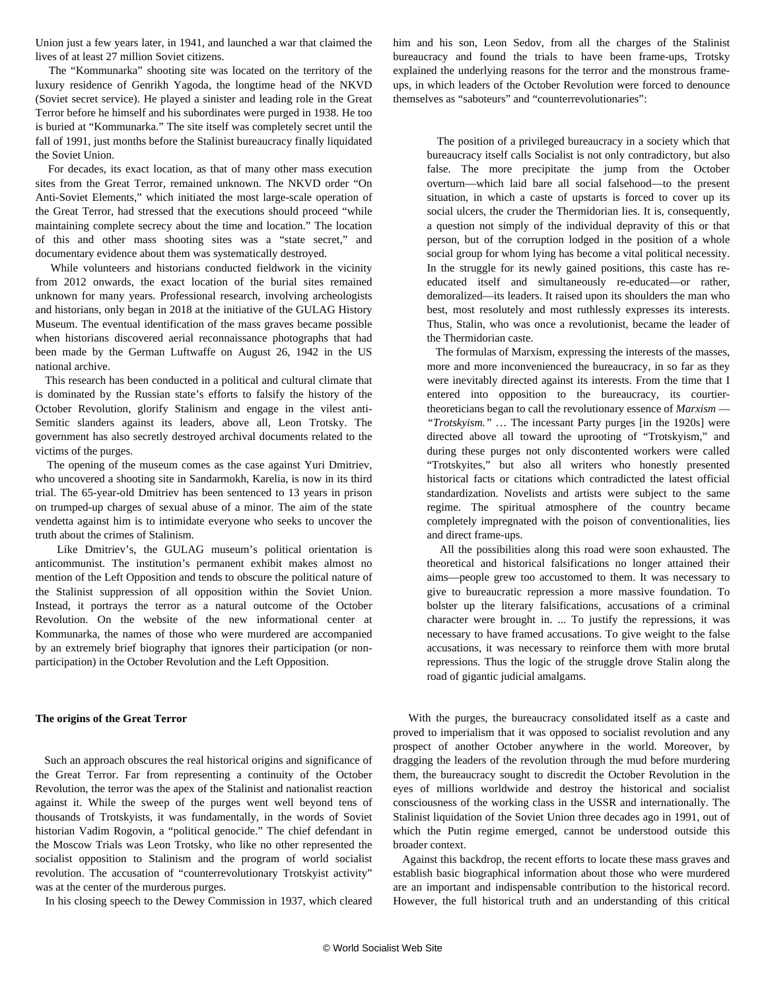Union just a few years later, in 1941, and launched a war that claimed the lives of at least 27 million Soviet citizens.

 The "Kommunarka" shooting site was located on the territory of the luxury residence of Genrikh Yagoda, the longtime head of the NKVD (Soviet secret service). He played a sinister and leading role in the Great Terror before he himself and his subordinates were purged in 1938. He too is buried at "Kommunarka." The site itself was completely secret until the fall of 1991, just months before the Stalinist bureaucracy finally liquidated the Soviet Union.

 For decades, its exact location, as that of many other mass execution sites from the Great Terror, remained unknown. The NKVD order "On Anti-Soviet Elements," which initiated the most large-scale operation of the Great Terror, had stressed that the executions should proceed "while maintaining complete secrecy about the time and location." The location of this and other mass shooting sites was a "state secret," and documentary evidence about them was systematically destroyed.

 While volunteers and historians conducted fieldwork in the vicinity from 2012 onwards, the exact location of the burial sites remained unknown for many years. Professional research, involving archeologists and historians, only began in 2018 at the initiative of the GULAG History Museum. The eventual identification of the mass graves became possible when historians discovered aerial reconnaissance photographs that had been made by the German Luftwaffe on August 26, 1942 in the US national archive.

 This research has been conducted in a political and cultural climate that is dominated by the Russian state's efforts to falsify the history of the October Revolution, glorify Stalinism and engage in the vilest anti-Semitic slanders against its leaders, above all, Leon Trotsky. The government has also [secretly destroyed](/en/articles/2018/06/18/russ-j18.html) archival documents related to the victims of the purges.

 The opening of the museum comes as the [case against](/en/articles/2020/05/12/russ-m12.html) Yuri Dmitriev, who uncovered a shooting site in Sandarmokh, Karelia, is now in its third trial. The 65-year-old Dmitriev has been sentenced to 13 years in prison on trumped-up charges of sexual abuse of a minor. The aim of the state vendetta against him is to intimidate everyone who seeks to uncover the truth about the crimes of Stalinism.

 Like Dmitriev's, the GULAG museum's political orientation is anticommunist. The institution's permanent exhibit makes almost no mention of the Left Opposition and tends to obscure the political nature of the Stalinist suppression of all opposition within the Soviet Union. Instead, it portrays the terror as a natural outcome of the October Revolution. On the website of the new informational center at Kommunarka, the names of those who were murdered are accompanied by an extremely brief biography that ignores their participation (or nonparticipation) in the October Revolution and the Left Opposition.

## **The origins of the Great Terror**

 Such an approach obscures the real historical origins and significance of the Great Terror. Far from representing a continuity of the October Revolution, the terror was the apex of the Stalinist and nationalist reaction against it. While the sweep of the purges went well beyond tens of thousands of Trotskyists, it was fundamentally, in the words of Soviet historian [Vadim Rogovin,](/en/topics/historyCategory/h-rogo) a "political genocide." The chief defendant in the Moscow Trials was Leon Trotsky, who like no other represented the socialist opposition to Stalinism and the program of world socialist revolution. The accusation of "counterrevolutionary Trotskyist activity" was at the center of the murderous purges.

In his [closing speech](https://www.marxists.org/archive/trotsky/1937/dewey/session13_c.htm) to the Dewey Commission in 1937, which cleared

him and his son, Leon Sedov, from all the charges of the Stalinist bureaucracy and found the trials to have been frame-ups, Trotsky explained the underlying reasons for the terror and the monstrous frameups, in which leaders of the October Revolution were forced to denounce themselves as "saboteurs" and "counterrevolutionaries":

 The position of a privileged bureaucracy in a society which that bureaucracy itself calls Socialist is not only contradictory, but also false. The more precipitate the jump from the October overturn—which laid bare all social falsehood—to the present situation, in which a caste of upstarts is forced to cover up its social ulcers, the cruder the Thermidorian lies. It is, consequently, a question not simply of the individual depravity of this or that person, but of the corruption lodged in the position of a whole social group for whom lying has become a vital political necessity. In the struggle for its newly gained positions, this caste has reeducated itself and simultaneously re-educated—or rather, demoralized—its leaders. It raised upon its shoulders the man who best, most resolutely and most ruthlessly expresses its interests. Thus, Stalin, who was once a revolutionist, became the leader of the Thermidorian caste.

 The formulas of Marxism, expressing the interests of the masses, more and more inconvenienced the bureaucracy, in so far as they were inevitably directed against its interests. From the time that I entered into opposition to the bureaucracy, its courtiertheoreticians began to call the revolutionary essence of *Marxism* — *"Trotskyism."* … The incessant Party purges [in the 1920s] were directed above all toward the uprooting of "Trotskyism," and during these purges not only discontented workers were called "Trotskyites," but also all writers who honestly presented historical facts or citations which contradicted the latest official standardization. Novelists and artists were subject to the same regime. The spiritual atmosphere of the country became completely impregnated with the poison of conventionalities, lies and direct frame-ups.

 All the possibilities along this road were soon exhausted. The theoretical and historical falsifications no longer attained their aims—people grew too accustomed to them. It was necessary to give to bureaucratic repression a more massive foundation. To bolster up the literary falsifications, accusations of a criminal character were brought in. ... To justify the repressions, it was necessary to have framed accusations. To give weight to the false accusations, it was necessary to reinforce them with more brutal repressions. Thus the logic of the struggle drove Stalin along the road of gigantic judicial amalgams.

 With the purges, the bureaucracy consolidated itself as a caste and proved to imperialism that it was opposed to socialist revolution and any prospect of another October anywhere in the world. Moreover, by dragging the leaders of the revolution through the mud before murdering them, the bureaucracy sought to discredit the October Revolution in the eyes of millions worldwide and destroy the historical and socialist consciousness of the working class in the USSR and internationally. The Stalinist liquidation of the Soviet Union three decades ago in 1991, out of which the Putin regime emerged, cannot be understood outside this broader context.

 Against this backdrop, the recent efforts to locate these mass graves and establish basic biographical information about those who were murdered are an important and indispensable contribution to the historical record. However, the full historical truth and an understanding of this critical